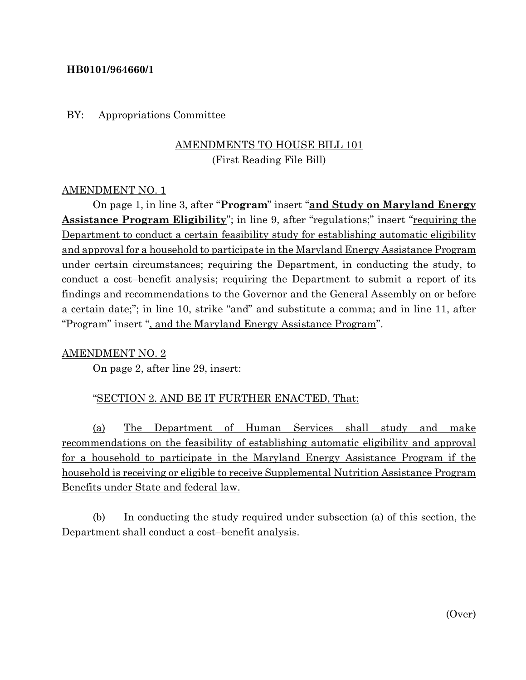### **HB0101/964660/1**

#### BY: Appropriations Committee

# AMENDMENTS TO HOUSE BILL 101 (First Reading File Bill)

#### AMENDMENT NO. 1

On page 1, in line 3, after "**Program**" insert "**and Study on Maryland Energy Assistance Program Eligibility**"; in line 9, after "regulations;" insert "requiring the Department to conduct a certain feasibility study for establishing automatic eligibility and approval for a household to participate in the Maryland Energy Assistance Program under certain circumstances; requiring the Department, in conducting the study, to conduct a cost–benefit analysis; requiring the Department to submit a report of its findings and recommendations to the Governor and the General Assembly on or before a certain date;"; in line 10, strike "and" and substitute a comma; and in line 11, after "Program" insert ", and the Maryland Energy Assistance Program".

#### AMENDMENT NO. 2

On page 2, after line 29, insert:

#### "SECTION 2. AND BE IT FURTHER ENACTED, That:

(a) The Department of Human Services shall study and make recommendations on the feasibility of establishing automatic eligibility and approval for a household to participate in the Maryland Energy Assistance Program if the household is receiving or eligible to receive Supplemental Nutrition Assistance Program Benefits under State and federal law.

(b) In conducting the study required under subsection (a) of this section, the Department shall conduct a cost–benefit analysis.